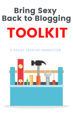# Bring Sexy Back to Blogging TOOLKIT

#### **A HOL L E Y CREAT IVE PRODUC T ION**

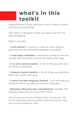### what' s in this toolkit

Congratulations on your decision to start a blog or breathe life into an existing blog!

This toolkit is designed to help you master your first 30 days of blogging.

What is included:

- **A self-contract.** A contract to help you move towards goals that will be achieved by blogging consistently.

- **A read avatar worksheet.** A worksheet to help you become familiar with the person who will be reading your blog.

- **A six-week content planner.** A tool to help you plan up to six weeks of blog posts.

- **A blog pre-launch checklist.** A list of things you should do before you launch your blog.

- **A before and after blog post checklist.** A list of things you should do before and after you publish a blog post.

- **Bottomless Blog Post ideas and thinksheet.** Includes 250 blog post ideas that will cure writer's block.

Not sure how to use any of these tools? No worries! We will be discussing how to use this toolkit during your twohour private Clubhouse room.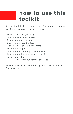#### how to use this toolkit

Use this toolkit when following my 10 step process to launch a new blog or re-launch an existing one.

- Select a topic for your blog
- Complete your self-contract
- Create your reader avatar
- Create your content pillars
- Plan your first 30-days of content
- Write 3-5 blog posts
- Complete the "before publishing" checklist
- Complete the blog pre-launch checklist
- Launch your blog
- Complete the"after publishing" checklist

We will cover this in detail during your two-hour private Clubhouse room.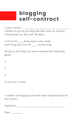### blogging self-contract

I, (your name): \_\_\_\_\_\_\_\_\_\_\_\_\_\_\_\_\_\_\_\_\_\_\_\_\_\_\_\_\_\_\_\_\_\_\_\_\_\_\_\_ commit to giving my blog the best start by writing consistently for the next 30 days.

I will write \_\_\_\_\_blog posts every week. Each blog post will be \_\_\_\_\_ words long.

Doing so will help me move towards the following goals:

1.

2.

3.

To do this, I must:

I commit to blogging and take total responsibility for my actions.

Signature \_\_\_\_\_\_\_\_\_\_\_\_\_\_\_\_\_\_\_\_\_\_\_\_\_\_\_\_\_\_\_\_\_\_\_\_\_\_\_\_\_\_

Date \_\_\_\_\_\_\_\_\_\_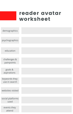#### reader avatar worksheet

| demographics                   |  |
|--------------------------------|--|
|                                |  |
| psychographics                 |  |
|                                |  |
| education                      |  |
|                                |  |
| challenges &<br>painpoints     |  |
|                                |  |
| goals &<br>aspirations         |  |
|                                |  |
| keywords they<br>use in search |  |
|                                |  |
| websites visited               |  |
|                                |  |
| social platforms<br>used       |  |
|                                |  |
| events they<br>attend          |  |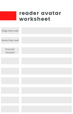#### reader avatar worksheet

| blogs they read        |  |
|------------------------|--|
| books they read        |  |
| financial<br>situation |  |
|                        |  |
|                        |  |
|                        |  |
|                        |  |
|                        |  |
|                        |  |
|                        |  |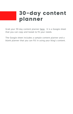### 30-day content planner

Grab your 30-day content planner [here.](https://docs.google.com/spreadsheets/d/1hAbDOZ2dWiIHADmRLPvPiAIhtxbP493XW2HCWAMCcMY/edit?usp=sharing) It is a Google sheet that you can copy and tweak to fit your needs.

The Google sheet includes a sample content planner and a blank planner that you can fill in using your blog's content.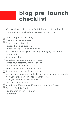### blog pre-launch checklist

After you have written your first 3-5 blog posts, follow this pre-launch checklist before you launch your blog.

- $\bigcap$  Select a topic for your blog
- □ Create your reader avatar
- □ Create your content pillars
- $\bigcap$  Select a blogging platform
- $\bigcap$  Select and register a domain name
- $\bigcap$  Purchase hosting (if you are using a blogging platform that is self-hosted)
- $\Box$  Setup your blog
- $\bigcap$  Complete the blog branding process
- $\bigcap$  Create your essential internal pages
- $\bigcap$  Set up your social media sites
- Select an email marketing solution
- $\bigcap$  Set up your email opt-in and test it
- $\Box$  Set up Google Analytics and add the tracking code to your blog
- View your blog on your phone and/or tablet
- View your blog in all major browsers
- □Test your contact form
- Install your SEO plugins (if you are using WordPress)
- $\bigcap$  Push the "publish" button
- Tell the world your blog is live
- Celebrate!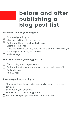## before and after publishing a blog post list

#### **Before you publish your blog post**

- Proofread your blog post
- Make sure all the links are working
- Add your affiliate marketing disclosures
- Create internal links
- If you are tracking your keyword rankings, add the keywords you are using into your keyword tracker
- Add an image

#### **Before you publish your blog post - SEO**

- Place 1-2 keywords in your content  $\Box$
- Add your target keyword or phrase in your header and URL
- Add meta tags
- Add ALT tags

#### **After you publish your blog post**

- $\Box$  Share on all social media sites (post on Facebook, Twitter, and LinkedIn)
- $\Box$  Send out to your email list
- $\Box$  Share with cross-marketing partners
- Repurpose on your podcast, short form video, etc.